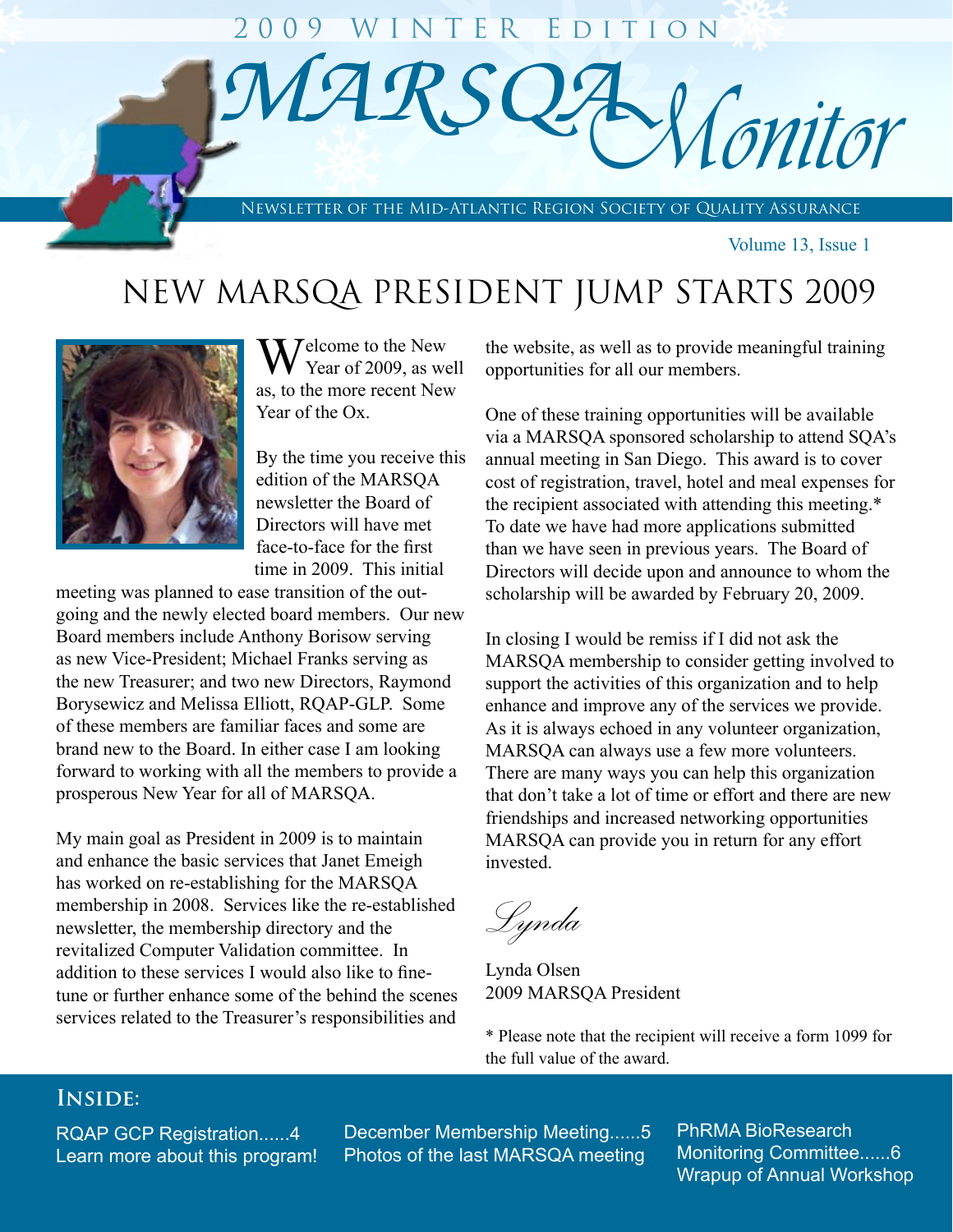

Volume 13, Issue 1

# NEW MARSQA PRESIDENT JUMP STARTS 2009



**Y** Jelcome to the New Year of 2009, as well as, to the more recent New Year of the Ox.

By the time you receive this edition of the MARSQA newsletter the Board of Directors will have met face-to-face for the first time in 2009. This initial

meeting was planned to ease transition of the outgoing and the newly elected board members. Our new Board members include Anthony Borisow serving as new Vice-President; Michael Franks serving as the new Treasurer; and two new Directors, Raymond Borysewicz and Melissa Elliott, RQAP-GLP. Some of these members are familiar faces and some are brand new to the Board. In either case I am looking forward to working with all the members to provide a prosperous New Year for all of MARSQA.

My main goal as President in 2009 is to maintain and enhance the basic services that Janet Emeigh has worked on re-establishing for the MARSQA membership in 2008. Services like the re-established newsletter, the membership directory and the revitalized Computer Validation committee. In addition to these services I would also like to finetune or further enhance some of the behind the scenes services related to the Treasurer's responsibilities and

the website, as well as to provide meaningful training opportunities for all our members.

One of these training opportunities will be available via a MARSQA sponsored scholarship to attend SQA's annual meeting in San Diego. This award is to cover cost of registration, travel, hotel and meal expenses for the recipient associated with attending this meeting.\* To date we have had more applications submitted than we have seen in previous years. The Board of Directors will decide upon and announce to whom the scholarship will be awarded by February 20, 2009.

In closing I would be remiss if I did not ask the MARSQA membership to consider getting involved to support the activities of this organization and to help enhance and improve any of the services we provide. As it is always echoed in any volunteer organization, MARSQA can always use a few more volunteers. There are many ways you can help this organization that don't take a lot of time or effort and there are new friendships and increased networking opportunities MARSQA can provide you in return for any effort invested.

*Lynda*

Lynda Olsen 2009 MARSQA President

\* Please note that the recipient will receive a form 1099 for the full value of the award.

# **Inside:**

RQAP GCP Registration......4 Learn more about this program! December Membership Meeting......5 Photos of the last MARSQA meeting

PhRMA BioResearch Monitoring Committee......6 Wrapup of Annual Workshop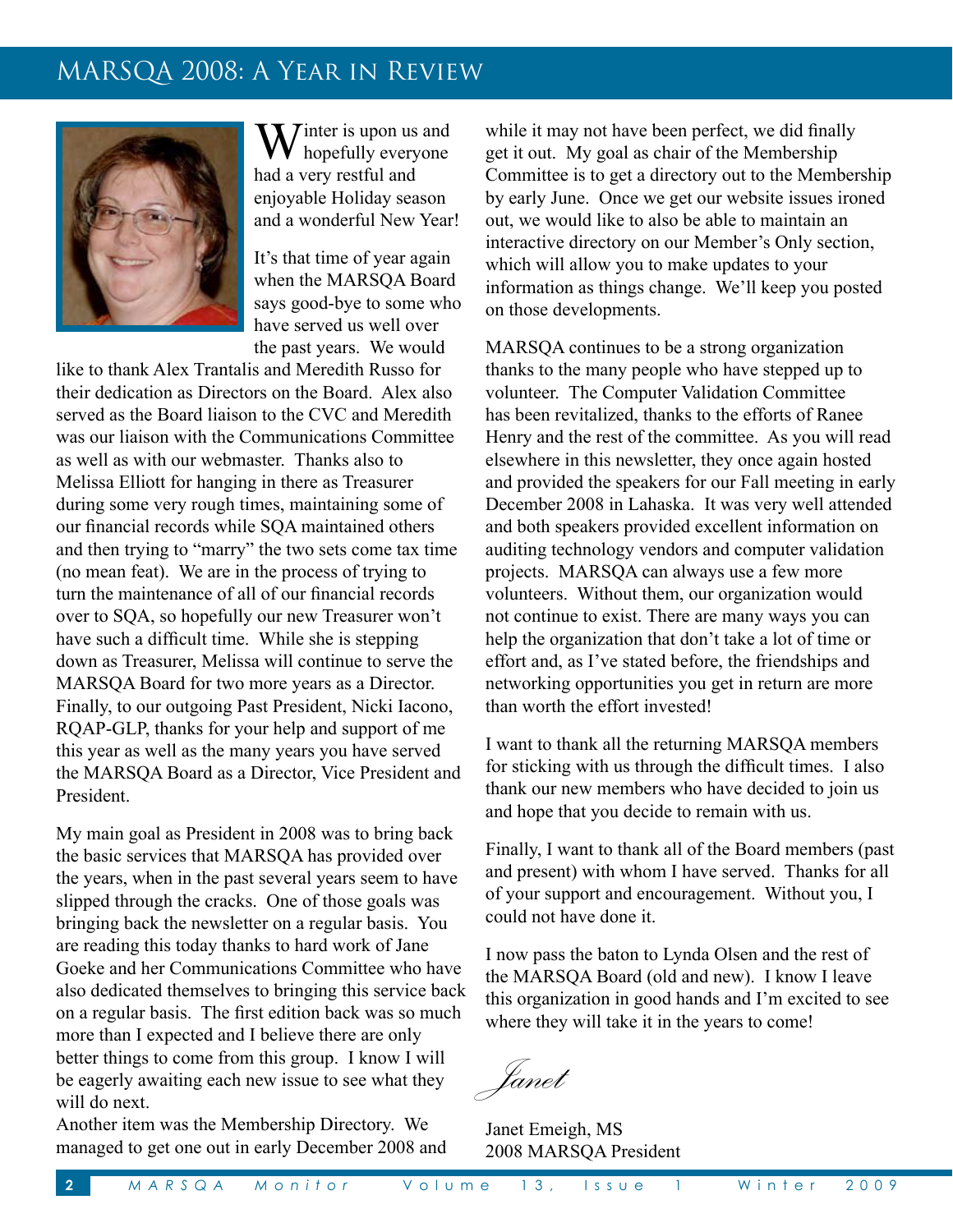# MARSQA 2008: A Year in Review



Winter is upon us and<br>hopefully everyone had a very restful and enjoyable Holiday season and a wonderful New Year!

It's that time of year again when the MARSQA Board says good-bye to some who have served us well over the past years. We would

like to thank Alex Trantalis and Meredith Russo for their dedication as Directors on the Board. Alex also served as the Board liaison to the CVC and Meredith was our liaison with the Communications Committee as well as with our webmaster. Thanks also to Melissa Elliott for hanging in there as Treasurer during some very rough times, maintaining some of our financial records while SQA maintained others and then trying to "marry" the two sets come tax time (no mean feat). We are in the process of trying to turn the maintenance of all of our financial records over to SQA, so hopefully our new Treasurer won't have such a difficult time. While she is stepping down as Treasurer, Melissa will continue to serve the MARSQA Board for two more years as a Director. Finally, to our outgoing Past President, Nicki Iacono, RQAP-GLP, thanks for your help and support of me this year as well as the many years you have served the MARSQA Board as a Director, Vice President and President.

My main goal as President in 2008 was to bring back the basic services that MARSQA has provided over the years, when in the past several years seem to have slipped through the cracks. One of those goals was bringing back the newsletter on a regular basis. You are reading this today thanks to hard work of Jane Goeke and her Communications Committee who have also dedicated themselves to bringing this service back on a regular basis. The first edition back was so much more than I expected and I believe there are only better things to come from this group. I know I will be eagerly awaiting each new issue to see what they will do next.

Another item was the Membership Directory. We managed to get one out in early December 2008 and while it may not have been perfect, we did finally get it out. My goal as chair of the Membership Committee is to get a directory out to the Membership by early June. Once we get our website issues ironed out, we would like to also be able to maintain an interactive directory on our Member's Only section, which will allow you to make updates to your information as things change. We'll keep you posted on those developments.

MARSQA continues to be a strong organization thanks to the many people who have stepped up to volunteer. The Computer Validation Committee has been revitalized, thanks to the efforts of Ranee Henry and the rest of the committee. As you will read elsewhere in this newsletter, they once again hosted and provided the speakers for our Fall meeting in early December 2008 in Lahaska. It was very well attended and both speakers provided excellent information on auditing technology vendors and computer validation projects. MARSQA can always use a few more volunteers. Without them, our organization would not continue to exist. There are many ways you can help the organization that don't take a lot of time or effort and, as I've stated before, the friendships and networking opportunities you get in return are more than worth the effort invested!

I want to thank all the returning MARSQA members for sticking with us through the difficult times. I also thank our new members who have decided to join us and hope that you decide to remain with us.

Finally, I want to thank all of the Board members (past and present) with whom I have served. Thanks for all of your support and encouragement. Without you, I could not have done it.

I now pass the baton to Lynda Olsen and the rest of the MARSQA Board (old and new). I know I leave this organization in good hands and I'm excited to see where they will take it in the years to come!

*Janet*

Janet Emeigh, MS 2008 MARSQA President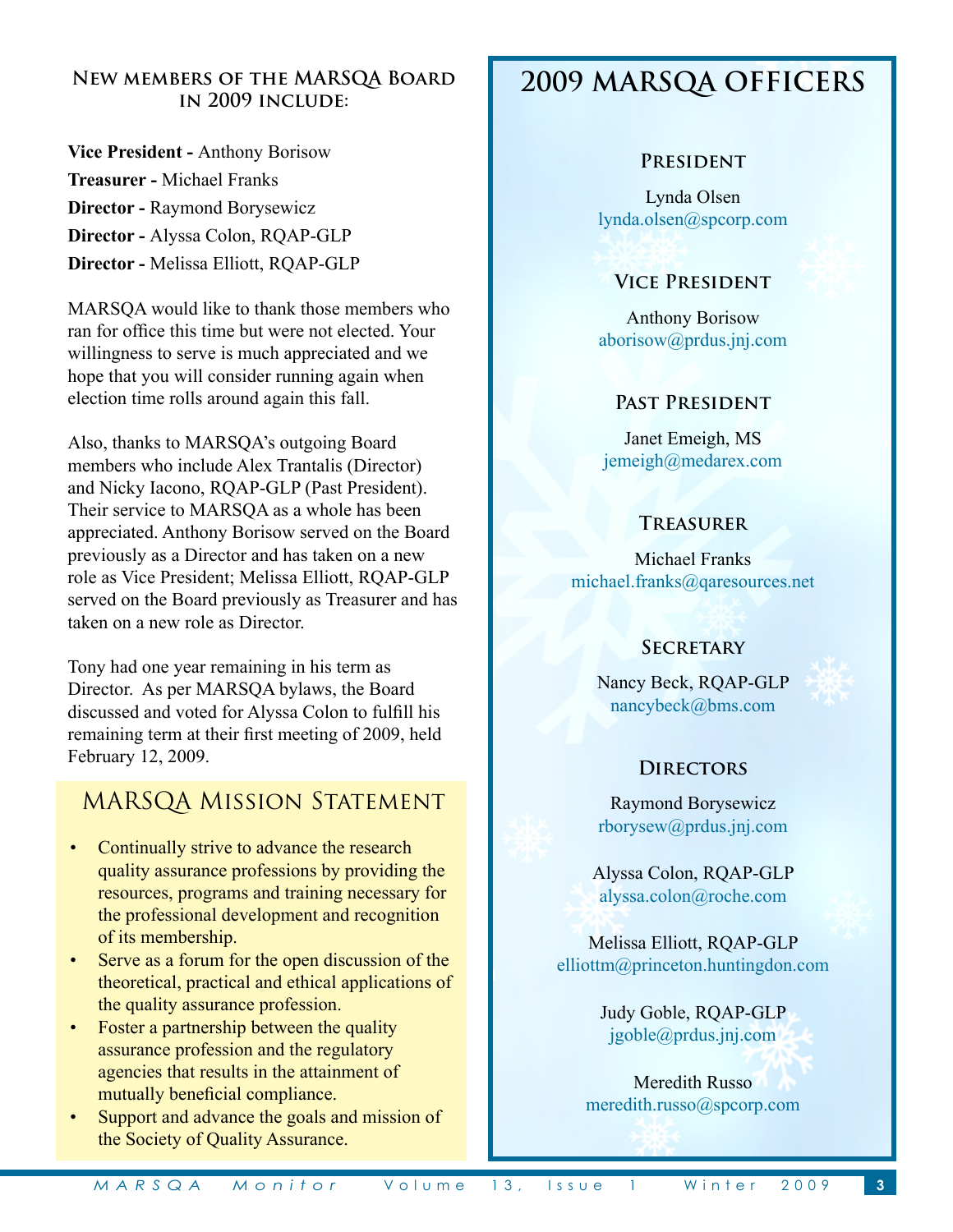## **New members of the MARSQA Board in 2009 include:**

**Vice President -** Anthony Borisow **Treasurer -** Michael Franks **Director -** Raymond Borysewicz **Director -** Alyssa Colon, RQAP-GLP **Director -** Melissa Elliott, RQAP-GLP

MARSQA would like to thank those members who ran for office this time but were not elected. Your willingness to serve is much appreciated and we hope that you will consider running again when election time rolls around again this fall.

Also, thanks to MARSQA's outgoing Board members who include Alex Trantalis (Director) and Nicky Iacono, RQAP-GLP (Past President). Their service to MARSQA as a whole has been appreciated. Anthony Borisow served on the Board previously as a Director and has taken on a new role as Vice President; Melissa Elliott, RQAP-GLP served on the Board previously as Treasurer and has taken on a new role as Director.

Tony had one year remaining in his term as Director. As per MARSQA bylaws, the Board discussed and voted for Alyssa Colon to fulfill his remaining term at their first meeting of 2009, held February 12, 2009.

# MARSQA Mission Statement

- Continually strive to advance the research quality assurance professions by providing the resources, programs and training necessary for the professional development and recognition of its membership.
- Serve as a forum for the open discussion of the theoretical, practical and ethical applications of the quality assurance profession.
- Foster a partnership between the quality assurance profession and the regulatory agencies that results in the attainment of mutually beneficial compliance.
- Support and advance the goals and mission of the Society of Quality Assurance.

# **2009 MARSQA OFFICERS**

### **President**

Lynda Olsen lynda.olsen@spcorp.com

## **Vice President**

Anthony Borisow aborisow@prdus.jnj.com

## **Past President**

Janet Emeigh, MS jemeigh@medarex.com

## **Treasurer**

Michael Franks michael.franks@qaresources.net

## **Secretary**

Nancy Beck, RQAP-GLP nancybeck@bms.com



## **Directors**

Raymond Borysewicz rborysew@prdus.jnj.com

Alyssa Colon, RQAP-GLP alyssa.colon@roche.com

Melissa Elliott, RQAP-GLP elliottm@princeton.huntingdon.com

> Judy Goble, RQAP-GLP jgoble@prdus.jnj.com

Meredith Russo meredith.russo@spcorp.com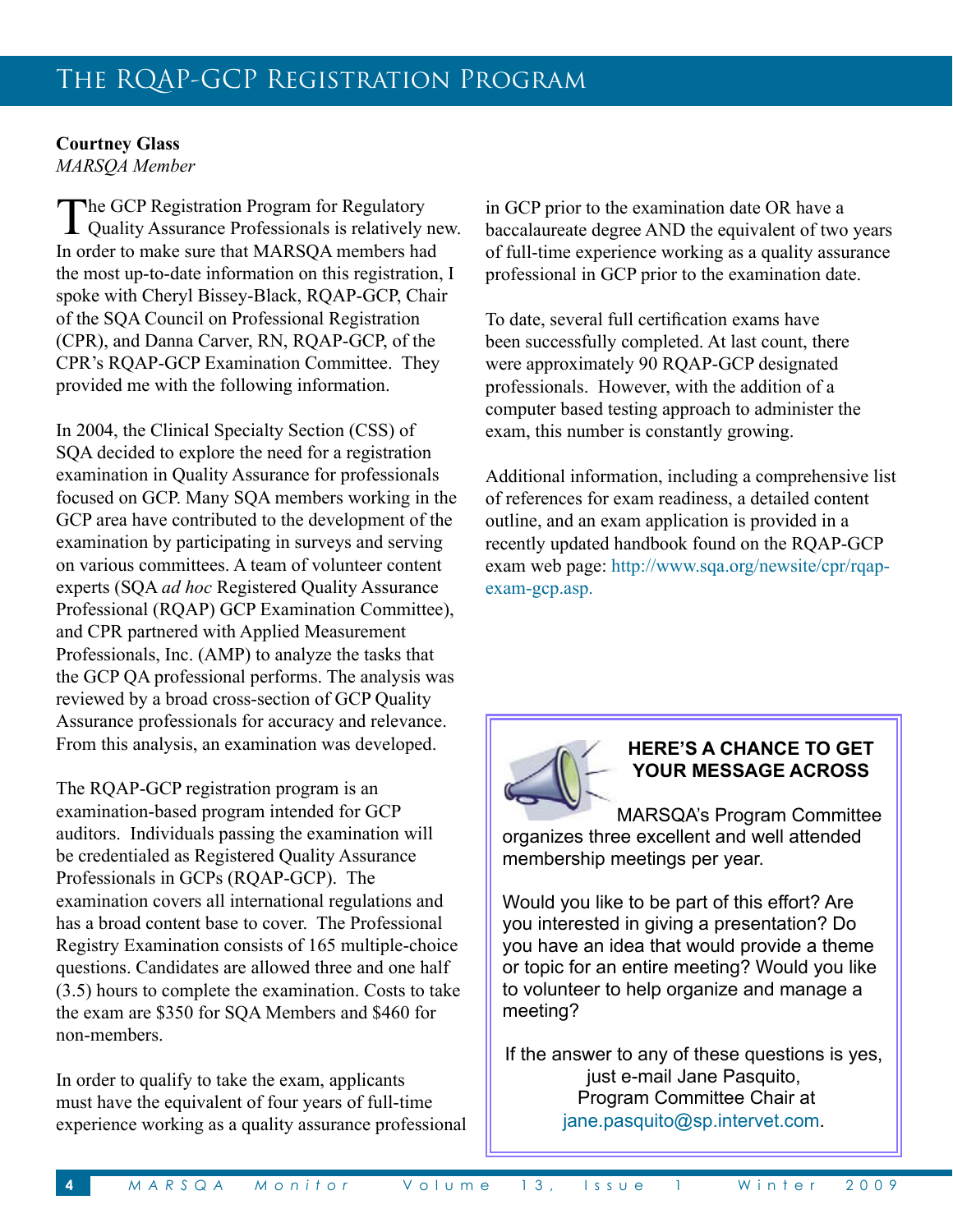### **Courtney Glass** *MARSQA Member*

The GCP Registration Program for Regulatory  $\perp$  Quality Assurance Professionals is relatively new. In order to make sure that MARSQA members had the most up-to-date information on this registration, I spoke with Cheryl Bissey-Black, RQAP-GCP, Chair of the SQA Council on Professional Registration (CPR), and Danna Carver, RN, RQAP-GCP, of the CPR's RQAP-GCP Examination Committee. They provided me with the following information.

In 2004, the Clinical Specialty Section (CSS) of SQA decided to explore the need for a registration examination in Quality Assurance for professionals focused on GCP. Many SQA members working in the GCP area have contributed to the development of the examination by participating in surveys and serving on various committees. A team of volunteer content experts (SQA *ad hoc* Registered Quality Assurance Professional (RQAP) GCP Examination Committee), and CPR partnered with Applied Measurement Professionals, Inc. (AMP) to analyze the tasks that the GCP QA professional performs. The analysis was reviewed by a broad cross-section of GCP Quality Assurance professionals for accuracy and relevance. From this analysis, an examination was developed.

The RQAP-GCP registration program is an examination-based program intended for GCP auditors. Individuals passing the examination will be credentialed as Registered Quality Assurance Professionals in GCPs (RQAP-GCP). The examination covers all international regulations and has a broad content base to cover. The Professional Registry Examination consists of 165 multiple-choice questions. Candidates are allowed three and one half (3.5) hours to complete the examination. Costs to take the exam are \$350 for SQA Members and \$460 for non-members.

In order to qualify to take the exam, applicants must have the equivalent of four years of full-time experience working as a quality assurance professional

in GCP prior to the examination date OR have a baccalaureate degree AND the equivalent of two years of full-time experience working as a quality assurance professional in GCP prior to the examination date.

To date, several full certification exams have been successfully completed. At last count, there were approximately 90 RQAP-GCP designated professionals. However, with the addition of a computer based testing approach to administer the exam, this number is constantly growing.

Additional information, including a comprehensive list of references for exam readiness, a detailed content outline, and an exam application is provided in a recently updated handbook found on the RQAP-GCP exam web page: http://www.sqa.org/newsite/cpr/rqapexam-gcp.asp.



## **HERE'S A CHANCE TO GET YOUR MESSAGE ACROSS**

MARSQA's Program Committee organizes three excellent and well attended membership meetings per year.

Would you like to be part of this effort? Are you interested in giving a presentation? Do you have an idea that would provide a theme or topic for an entire meeting? Would you like to volunteer to help organize and manage a meeting?

If the answer to any of these questions is yes, just e-mail Jane Pasquito, Program Committee Chair at jane.pasquito@sp.intervet.com.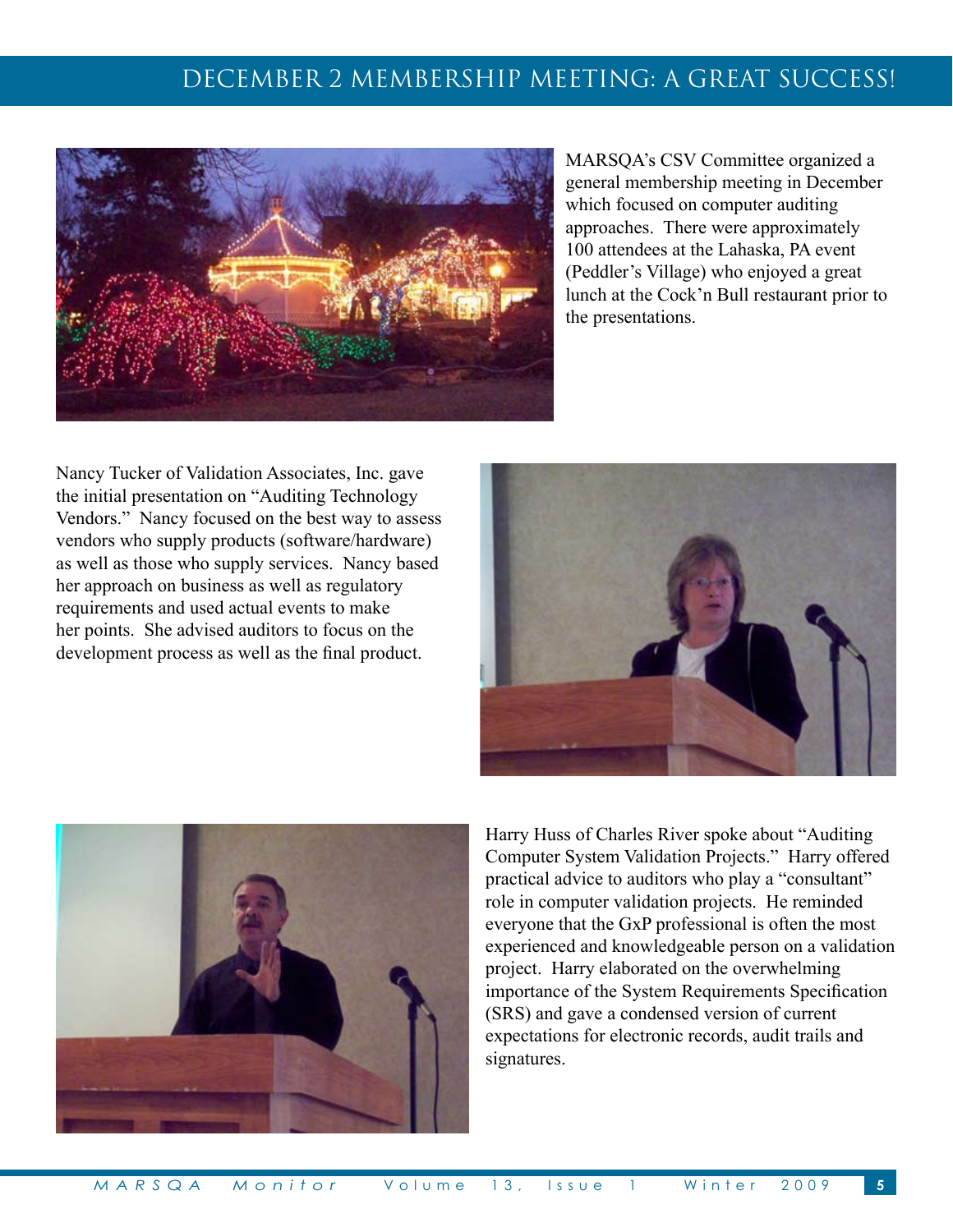# DECEMBER 2 MEMBERSHIP MEETING: A GREAT SUCCESS!



MARSQA's CSV Committee organized a general membership meeting in December which focused on computer auditing approaches. There were approximately 100 attendees at the Lahaska, PA event (Peddler's Village) who enjoyed a great lunch at the Cock'n Bull restaurant prior to the presentations.

Nancy Tucker of Validation Associates, Inc. gave the initial presentation on "Auditing Technology Vendors." Nancy focused on the best way to assess vendors who supply products (software/hardware) as well as those who supply services. Nancy based her approach on business as well as regulatory requirements and used actual events to make her points. She advised auditors to focus on the development process as well as the final product.





Harry Huss of Charles River spoke about "Auditing Computer System Validation Projects." Harry offered practical advice to auditors who play a "consultant" role in computer validation projects. He reminded everyone that the GxP professional is often the most experienced and knowledgeable person on a validation project. Harry elaborated on the overwhelming importance of the System Requirements Specification (SRS) and gave a condensed version of current expectations for electronic records, audit trails and signatures.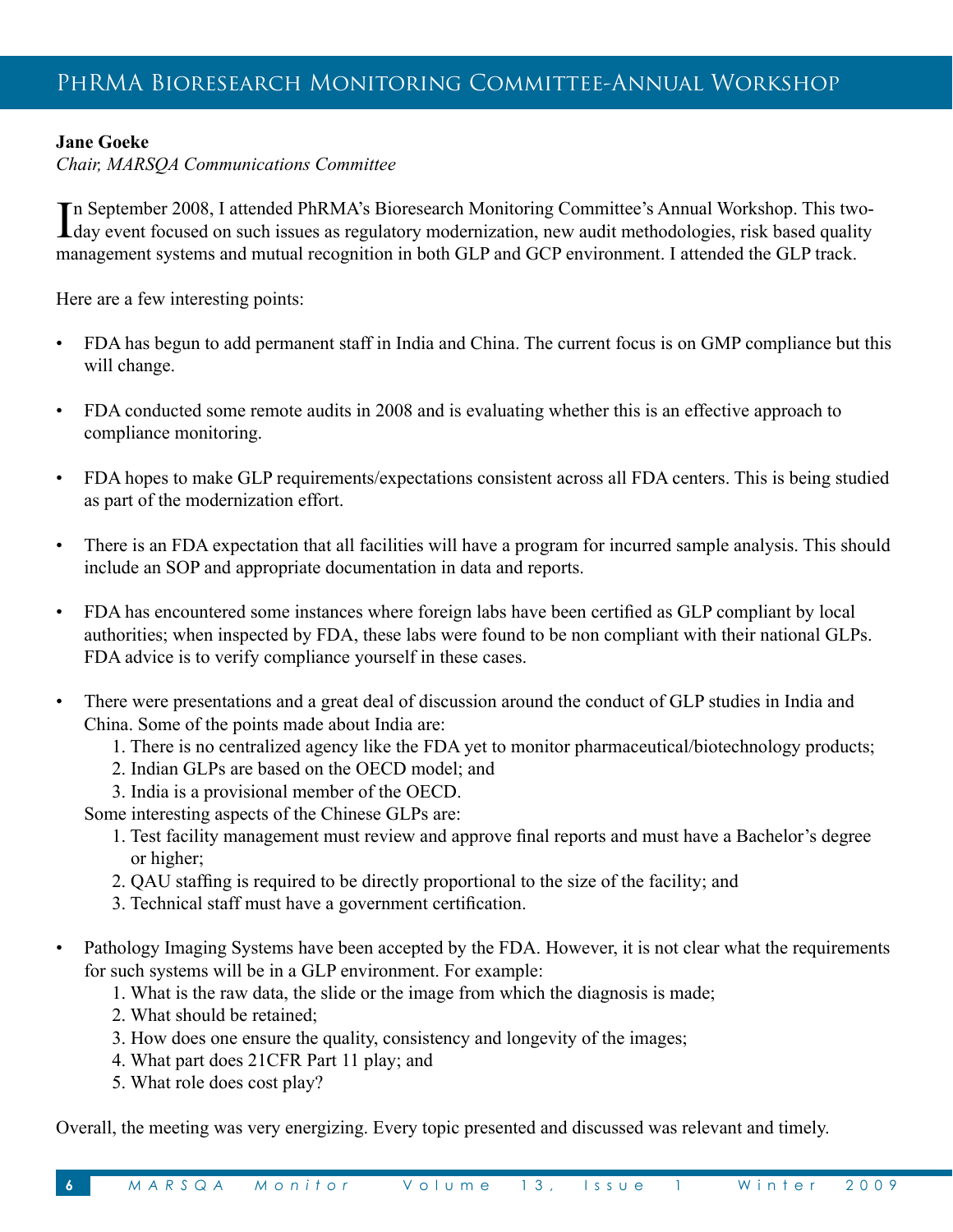## **Jane Goeke**

*Chair, MARSQA Communications Committee*

In September 2008, I attended PhRMA's Bioresearch Monitoring Committee's Annual Workshop. This two-<br>day event focused on such issues as regulatory modernization, new audit methodologies, risk based quality n September 2008, I attended PhRMA's Bioresearch Monitoring Committee's Annual Workshop. This twomanagement systems and mutual recognition in both GLP and GCP environment. I attended the GLP track.

Here are a few interesting points:

- FDA has begun to add permanent staff in India and China. The current focus is on GMP compliance but this will change.
- FDA conducted some remote audits in 2008 and is evaluating whether this is an effective approach to compliance monitoring.
- FDA hopes to make GLP requirements/expectations consistent across all FDA centers. This is being studied as part of the modernization effort.
- There is an FDA expectation that all facilities will have a program for incurred sample analysis. This should include an SOP and appropriate documentation in data and reports.
- FDA has encountered some instances where foreign labs have been certified as GLP compliant by local authorities; when inspected by FDA, these labs were found to be non compliant with their national GLPs. FDA advice is to verify compliance yourself in these cases.
- There were presentations and a great deal of discussion around the conduct of GLP studies in India and China. Some of the points made about India are:
	- 1. There is no centralized agency like the FDA yet to monitor pharmaceutical/biotechnology products;
	- 2. Indian GLPs are based on the OECD model; and
	- 3. India is a provisional member of the OECD.

Some interesting aspects of the Chinese GLPs are:

- 1. Test facility management must review and approve final reports and must have a Bachelor's degree or higher;
- 2. QAU staffing is required to be directly proportional to the size of the facility; and
- 3. Technical staff must have a government certification.
- Pathology Imaging Systems have been accepted by the FDA. However, it is not clear what the requirements for such systems will be in a GLP environment. For example:
	- 1. What is the raw data, the slide or the image from which the diagnosis is made;
	- 2. What should be retained;
	- 3. How does one ensure the quality, consistency and longevity of the images;
	- 4. What part does 21CFR Part 11 play; and
	- 5. What role does cost play?

Overall, the meeting was very energizing. Every topic presented and discussed was relevant and timely.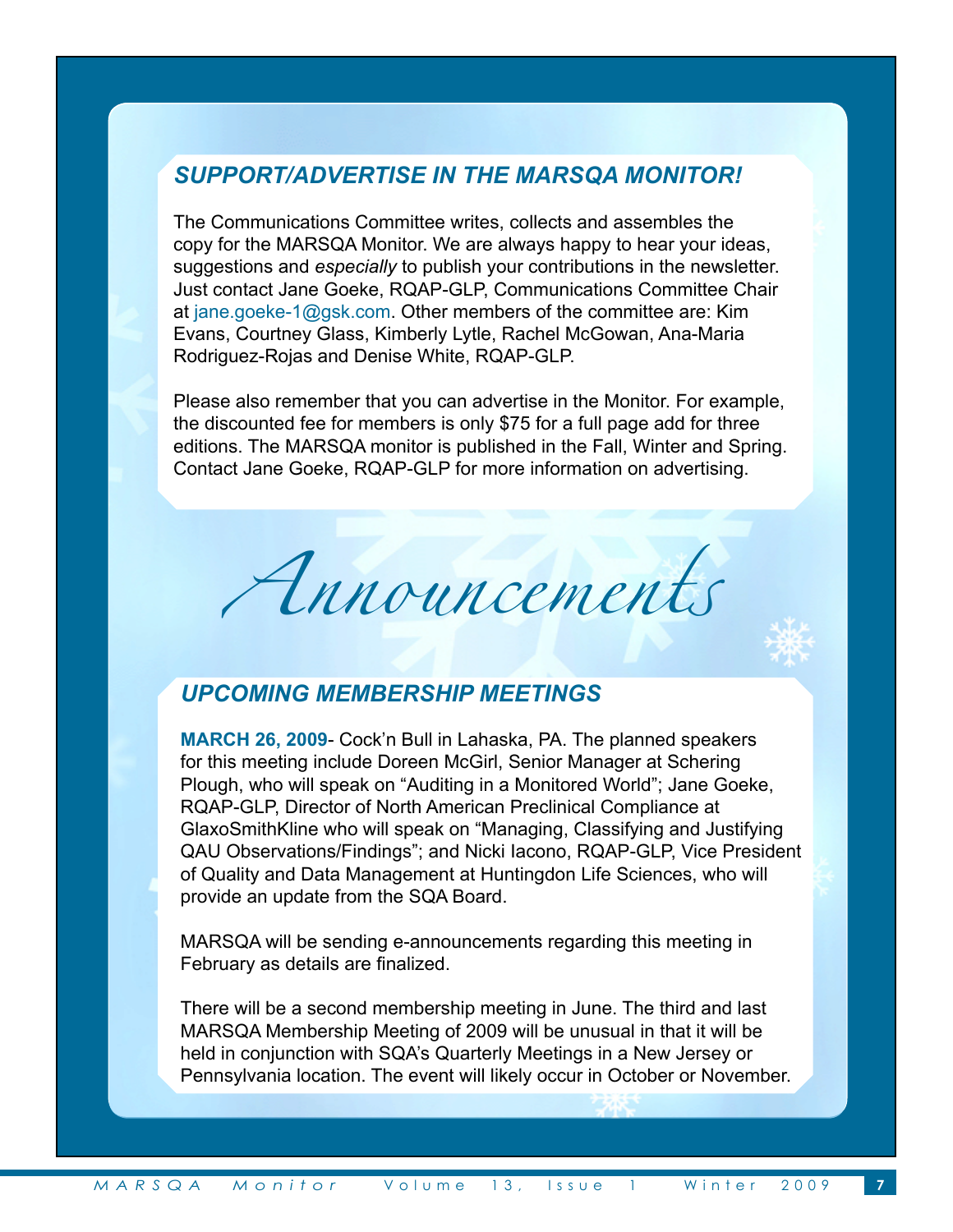# *SUPPORT/ADVERTISE IN THE MARSQA MONITOR!*

The Communications Committee writes, collects and assembles the copy for the MARSQA Monitor. We are always happy to hear your ideas, suggestions and *especially* to publish your contributions in the newsletter. Just contact Jane Goeke, RQAP-GLP, Communications Committee Chair at jane.goeke-1@gsk.com. Other members of the committee are: Kim Evans, Courtney Glass, Kimberly Lytle, Rachel McGowan, Ana-Maria Rodriguez-Rojas and Denise White, RQAP-GLP.

Please also remember that you can advertise in the Monitor. For example, the discounted fee for members is only \$75 for a full page add for three editions. The MARSQA monitor is published in the Fall, Winter and Spring. Contact Jane Goeke, RQAP-GLP for more information on advertising.

Announcements

## *UPCOMING MEMBERSHIP MEETINGS*

**MARCH 26, 2009**- Cock'n Bull in Lahaska, PA. The planned speakers for this meeting include Doreen McGirl, Senior Manager at Schering Plough, who will speak on "Auditing in a Monitored World"; Jane Goeke, RQAP-GLP, Director of North American Preclinical Compliance at GlaxoSmithKline who will speak on "Managing, Classifying and Justifying QAU Observations/Findings"; and Nicki Iacono, RQAP-GLP, Vice President of Quality and Data Management at Huntingdon Life Sciences, who will provide an update from the SQA Board.

MARSQA will be sending e-announcements regarding this meeting in February as details are finalized.

There will be a second membership meeting in June. The third and last MARSQA Membership Meeting of 2009 will be unusual in that it will be held in conjunction with SQA's Quarterly Meetings in a New Jersey or Pennsylvania location. The event will likely occur in October or November.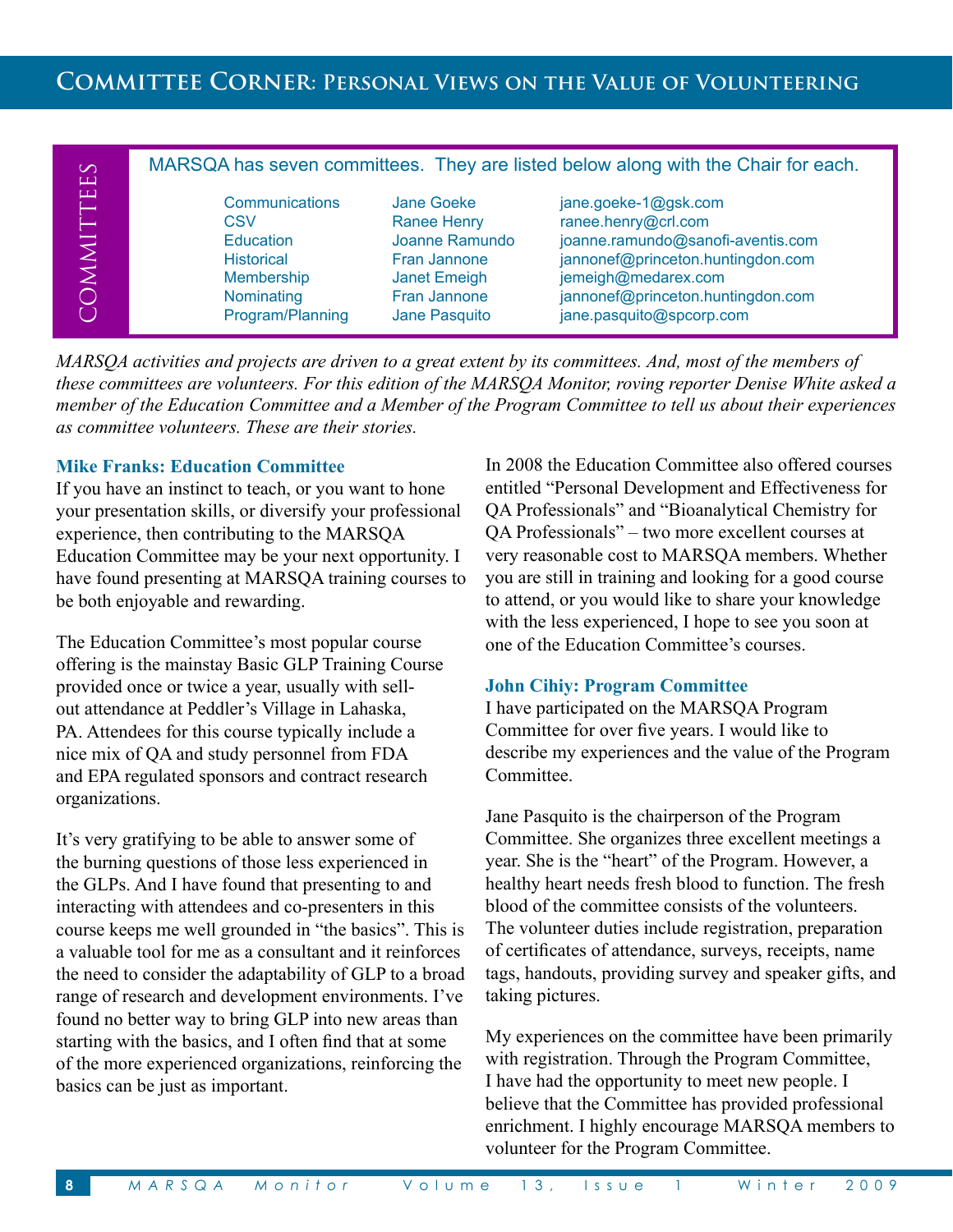# **Committee Corner: Personal Views on the Value of Volunteering**

| $\infty$<br>$\mathbf{\underline{u}}$  | MARSQA has seven committees. They are listed below along with the Chair for each.                              |                                                                                                                            |                                                                                                                                                                                                               |
|---------------------------------------|----------------------------------------------------------------------------------------------------------------|----------------------------------------------------------------------------------------------------------------------------|---------------------------------------------------------------------------------------------------------------------------------------------------------------------------------------------------------------|
| TTE<br>MMI<br>$\overline{\mathbb{C}}$ | Communications<br>CSV<br><b>Education</b><br><b>Historical</b><br>Membership<br>Nominating<br>Program/Planning | Jane Goeke<br><b>Ranee Henry</b><br>Joanne Ramundo<br>Fran Jannone<br><b>Janet Emeigh</b><br>Fran Jannone<br>Jane Pasquito | jane.goeke-1@gsk.com<br>ranee.henry@crl.com<br>joanne.ramundo@sanofi-aventis.com<br>jannonef@princeton.huntingdon.com<br>jemeigh@medarex.com<br>jannonef@princeton.huntingdon.com<br>jane.pasquito@spcorp.com |

*MARSQA activities and projects are driven to a great extent by its committees. And, most of the members of these committees are volunteers. For this edition of the MARSQA Monitor, roving reporter Denise White asked a member of the Education Committee and a Member of the Program Committee to tell us about their experiences as committee volunteers. These are their stories.*

#### **Mike Franks: Education Committee**

If you have an instinct to teach, or you want to hone your presentation skills, or diversify your professional experience, then contributing to the MARSQA Education Committee may be your next opportunity. I have found presenting at MARSQA training courses to be both enjoyable and rewarding.

The Education Committee's most popular course offering is the mainstay Basic GLP Training Course provided once or twice a year, usually with sellout attendance at Peddler's Village in Lahaska, PA. Attendees for this course typically include a nice mix of QA and study personnel from FDA and EPA regulated sponsors and contract research organizations.

It's very gratifying to be able to answer some of the burning questions of those less experienced in the GLPs. And I have found that presenting to and interacting with attendees and co-presenters in this course keeps me well grounded in "the basics". This is a valuable tool for me as a consultant and it reinforces the need to consider the adaptability of GLP to a broad range of research and development environments. I've found no better way to bring GLP into new areas than starting with the basics, and I often find that at some of the more experienced organizations, reinforcing the basics can be just as important.

In 2008 the Education Committee also offered courses entitled "Personal Development and Effectiveness for QA Professionals" and "Bioanalytical Chemistry for QA Professionals" – two more excellent courses at very reasonable cost to MARSQA members. Whether you are still in training and looking for a good course to attend, or you would like to share your knowledge with the less experienced, I hope to see you soon at one of the Education Committee's courses.

#### **John Cihiy: Program Committee**

I have participated on the MARSQA Program Committee for over five years. I would like to describe my experiences and the value of the Program Committee.

Jane Pasquito is the chairperson of the Program Committee. She organizes three excellent meetings a year. She is the "heart" of the Program. However, a healthy heart needs fresh blood to function. The fresh blood of the committee consists of the volunteers. The volunteer duties include registration, preparation of certificates of attendance, surveys, receipts, name tags, handouts, providing survey and speaker gifts, and taking pictures.

My experiences on the committee have been primarily with registration. Through the Program Committee, I have had the opportunity to meet new people. I believe that the Committee has provided professional enrichment. I highly encourage MARSQA members to volunteer for the Program Committee.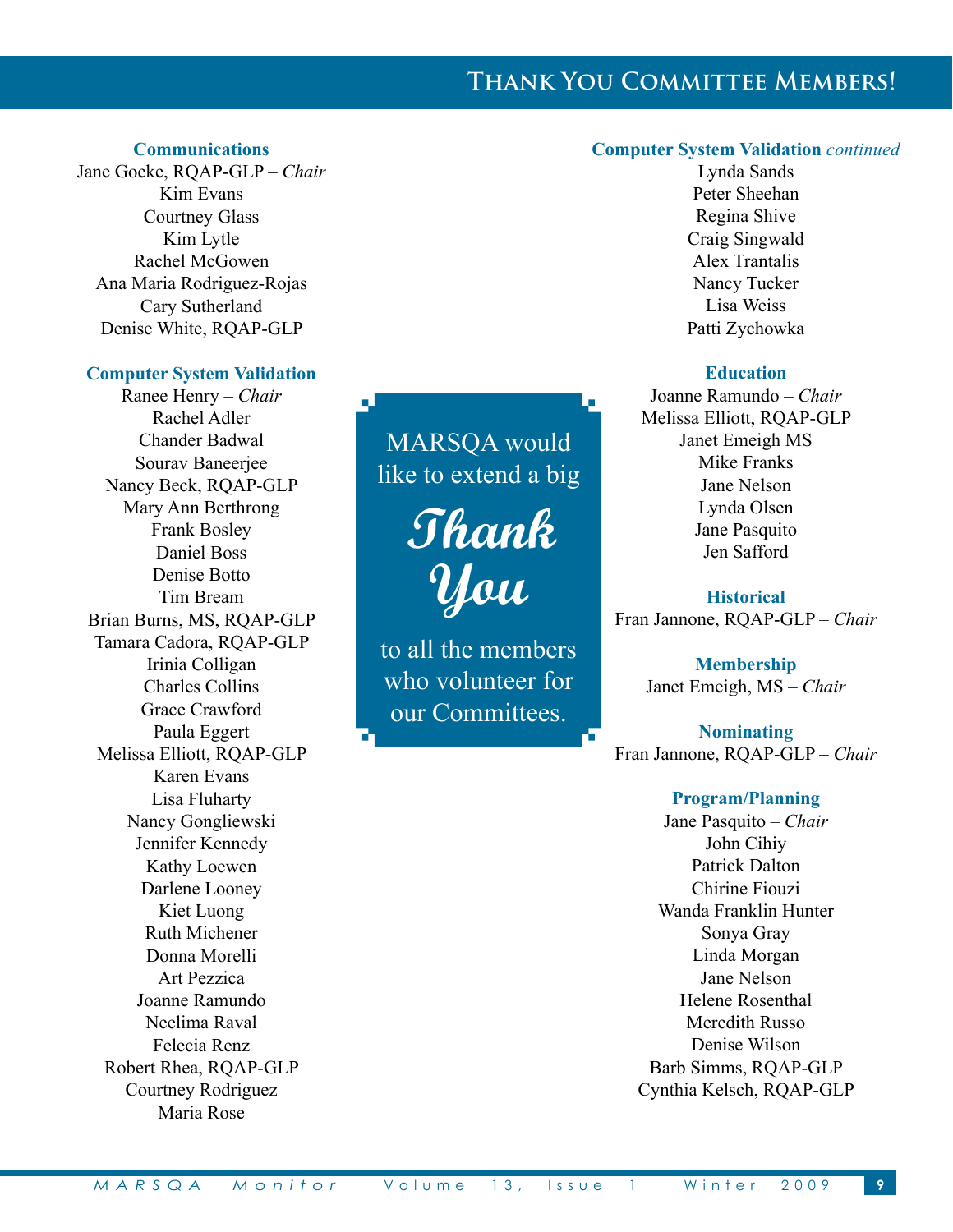# **Thank You Committee Members!**

#### **Communications**

Jane Goeke, RQAP-GLP – *Chair* Kim Evans Courtney Glass Kim Lytle Rachel McGowen Ana Maria Rodriguez-Rojas Cary Sutherland Denise White, RQAP-GLP

#### **Computer System Validation**

Ranee Henry – *Chair* Rachel Adler Chander Badwal Sourav Baneerjee Nancy Beck, RQAP-GLP Mary Ann Berthrong Frank Bosley Daniel Boss Denise Botto Tim Bream Brian Burns, MS, RQAP-GLP Tamara Cadora, RQAP-GLP Irinia Colligan Charles Collins Grace Crawford Paula Eggert Melissa Elliott, RQAP-GLP Karen Evans Lisa Fluharty Nancy Gongliewski Jennifer Kennedy Kathy Loewen Darlene Looney Kiet Luong Ruth Michener Donna Morelli Art Pezzica Joanne Ramundo Neelima Raval Felecia Renz Robert Rhea, RQAP-GLP Courtney Rodriguez Maria Rose

MARSQA would like to extend a big

**Thank You**

to all the members who volunteer for our Committees.

#### **Computer System Validation** *continued*

Lynda Sands Peter Sheehan Regina Shive Craig Singwald Alex Trantalis Nancy Tucker Lisa Weiss Patti Zychowka

#### **Education**

Joanne Ramundo – *Chair* Melissa Elliott, RQAP-GLP Janet Emeigh MS Mike Franks Jane Nelson Lynda Olsen Jane Pasquito Jen Safford

**Historical** Fran Jannone, RQAP-GLP – *Chair*

> **Membership** Janet Emeigh, MS – *Chair*

**Nominating** Fran Jannone, RQAP-GLP – *Chair*

#### **Program/Planning**

Jane Pasquito – *Chair* John Cihiy Patrick Dalton Chirine Fiouzi Wanda Franklin Hunter Sonya Gray Linda Morgan Jane Nelson Helene Rosenthal Meredith Russo Denise Wilson Barb Simms, RQAP-GLP Cynthia Kelsch, RQAP-GLP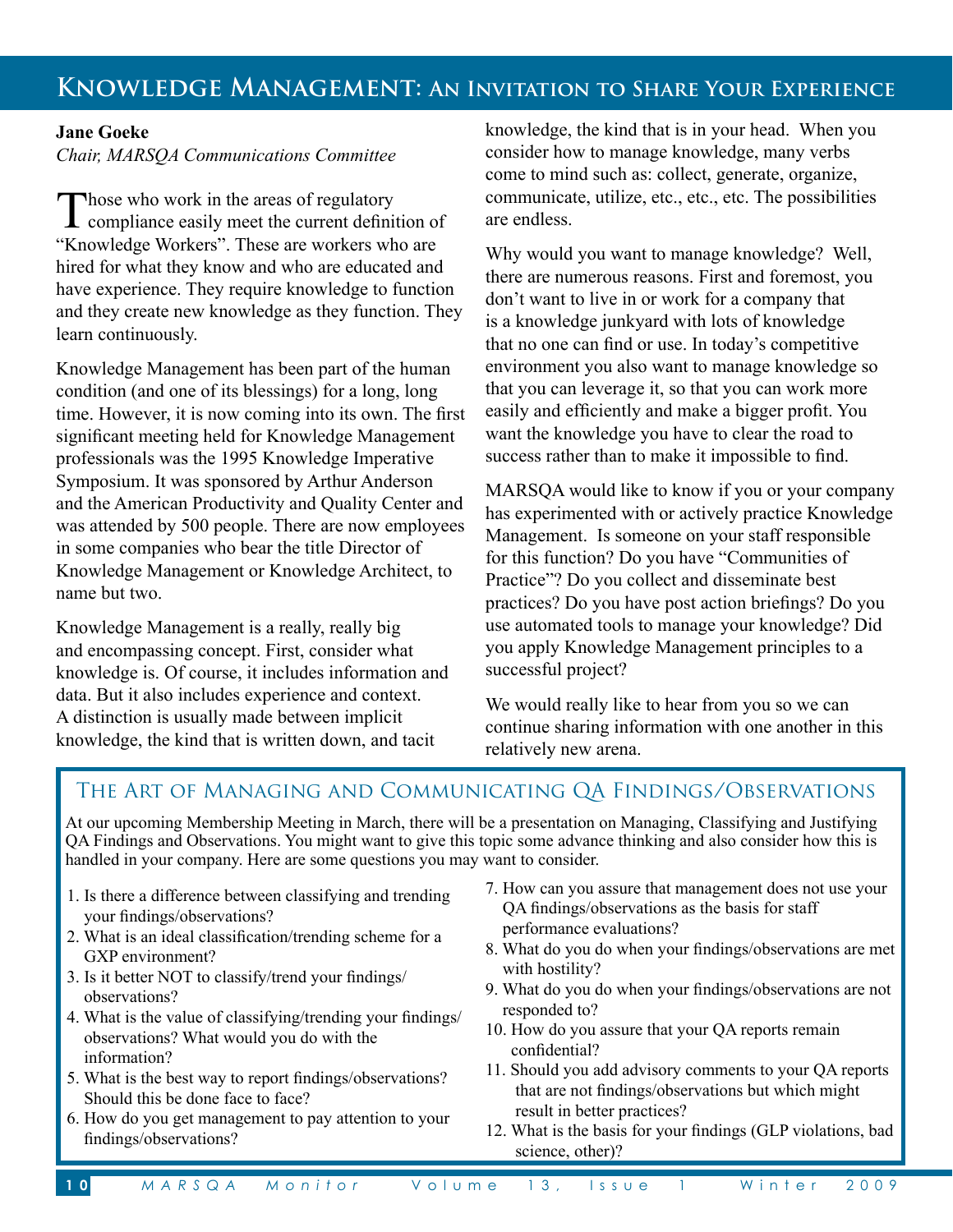### **Jane Goeke**

*Chair, MARSQA Communications Committee* 

Those who work in the areas of regulatory<br>compliance easily meet the current definition of "Knowledge Workers". These are workers who are hired for what they know and who are educated and have experience. They require knowledge to function and they create new knowledge as they function. They learn continuously.

Knowledge Management has been part of the human condition (and one of its blessings) for a long, long time. However, it is now coming into its own. The first significant meeting held for Knowledge Management professionals was the 1995 Knowledge Imperative Symposium. It was sponsored by Arthur Anderson and the American Productivity and Quality Center and was attended by 500 people. There are now employees in some companies who bear the title Director of Knowledge Management or Knowledge Architect, to name but two.

Knowledge Management is a really, really big and encompassing concept. First, consider what knowledge is. Of course, it includes information and data. But it also includes experience and context. A distinction is usually made between implicit knowledge, the kind that is written down, and tacit

knowledge, the kind that is in your head. When you consider how to manage knowledge, many verbs come to mind such as: collect, generate, organize, communicate, utilize, etc., etc., etc. The possibilities are endless.

Why would you want to manage knowledge? Well, there are numerous reasons. First and foremost, you don't want to live in or work for a company that is a knowledge junkyard with lots of knowledge that no one can find or use. In today's competitive environment you also want to manage knowledge so that you can leverage it, so that you can work more easily and efficiently and make a bigger profit. You want the knowledge you have to clear the road to success rather than to make it impossible to find.

MARSQA would like to know if you or your company has experimented with or actively practice Knowledge Management. Is someone on your staff responsible for this function? Do you have "Communities of Practice"? Do you collect and disseminate best practices? Do you have post action briefings? Do you use automated tools to manage your knowledge? Did you apply Knowledge Management principles to a successful project?

We would really like to hear from you so we can continue sharing information with one another in this relatively new arena.

# The Art of Managing and Communicating QA Findings/Observations

At our upcoming Membership Meeting in March, there will be a presentation on Managing, Classifying and Justifying QA Findings and Observations. You might want to give this topic some advance thinking and also consider how this is handled in your company. Here are some questions you may want to consider.

- 1. Is there a difference between classifying and trending your findings/observations?
- 2. What is an ideal classification/trending scheme for a GXP environment?
- 3. Is it better NOT to classify/trend your findings/ observations?
- 4. What is the value of classifying/trending your findings/ observations? What would you do with the information?
- 5. What is the best way to report findings/observations? Should this be done face to face?
- 6. How do you get management to pay attention to your findings/observations?
- 7. How can you assure that management does not use your QA findings/observations as the basis for staff performance evaluations?
- 8. What do you do when your findings/observations are met with hostility?
- 9. What do you do when your findings/observations are not responded to?
- 10. How do you assure that your QA reports remain confidential?
- 11. Should you add advisory comments to your QA reports that are not findings/observations but which might result in better practices?
- 12. What is the basis for your findings (GLP violations, bad science, other)?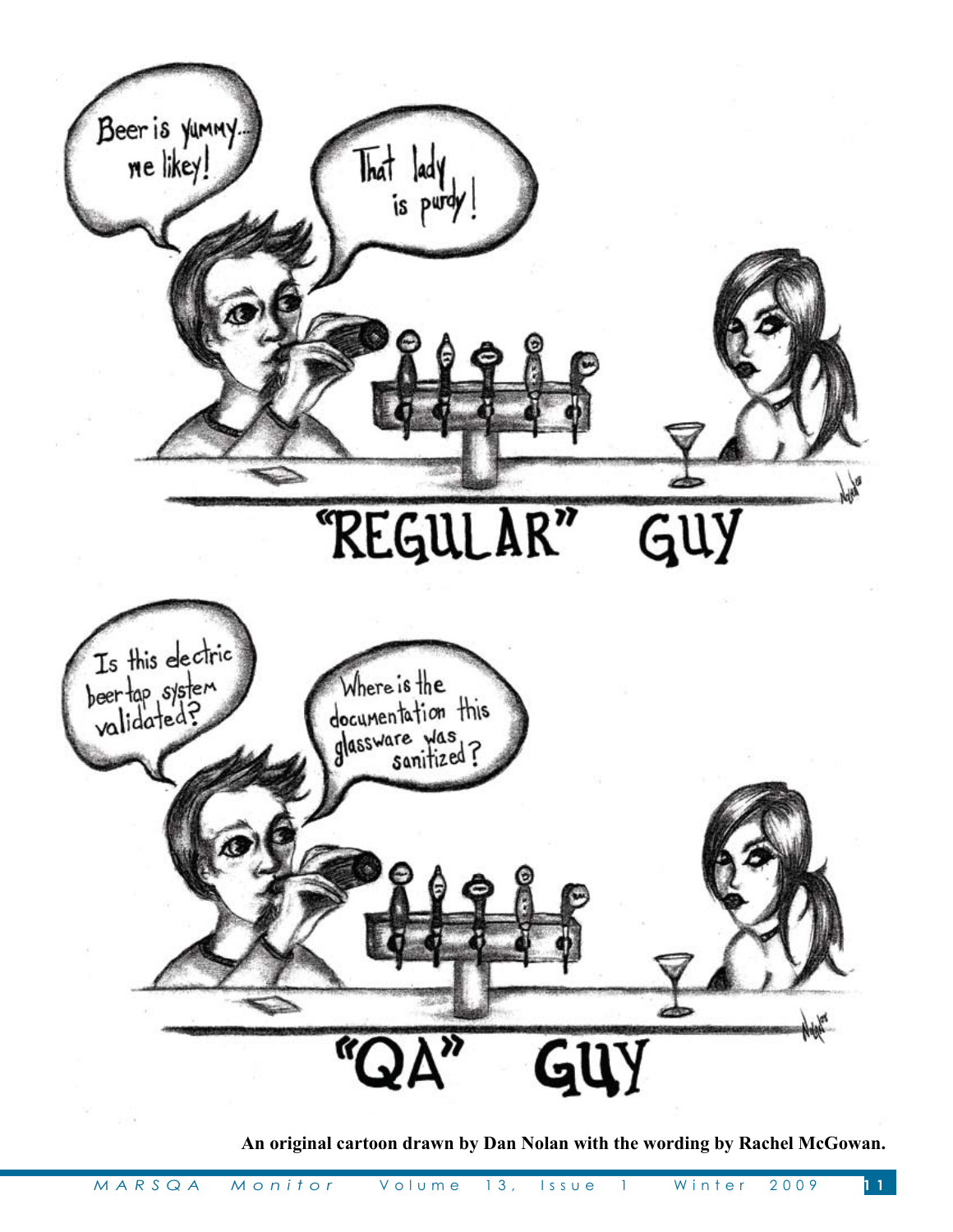

**An original cartoon drawn by Dan Nolan with the wording by Rachel McGowan.**